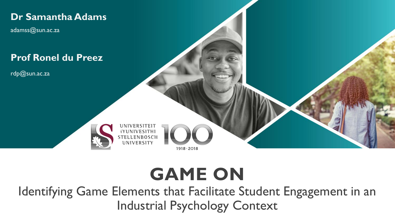

# **GAME ON**

Identifying Game Elements that Facilitate Student Engagement in an Industrial Psychology Context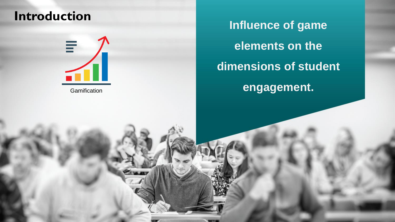#### **Introduction**



**Gamification** 

**Influence of game elements on the dimensions of student engagement.**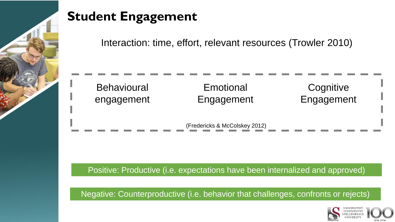

### **Student Engagement**

Interaction: time, effort, relevant resources (Trowler 2010)

| <b>Behavioural</b> | Emotional  | Cognitive  |
|--------------------|------------|------------|
| engagement         | Engagement | Engagement |
|                    |            |            |

(Fredericks & McColskey 2012)

Positive: Productive (i.e. expectations have been internalized and approved)

Negative: Counterproductive (i.e. behavior that challenges, confronts or rejects)

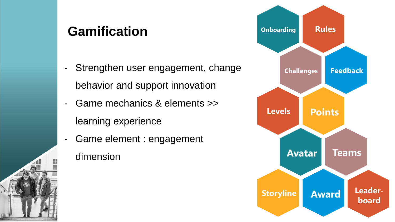#### **Gamification**

- Strengthen user engagement, change behavior and support innovation
- Game mechanics & elements >> learning experience
- Game element : engagement dimension

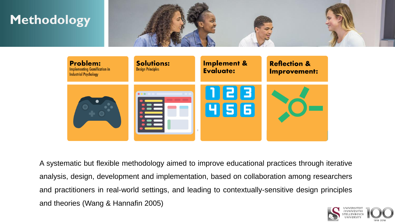



A systematic but flexible methodology aimed to improve educational practices through iterative analysis, design, development and implementation, based on collaboration among researchers and practitioners in real-world settings, and leading to contextually-sensitive design principles and theories (Wang & Hannafin 2005)

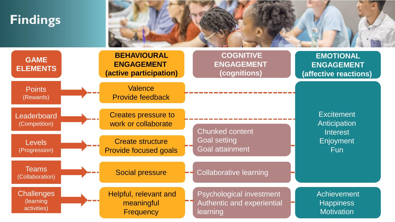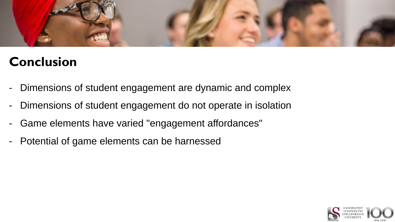

#### **Conclusion**

- Dimensions of student engagement are dynamic and complex
- Dimensions of student engagement do not operate in isolation
- Game elements have varied "engagement affordances"
- Potential of game elements can be harnessed